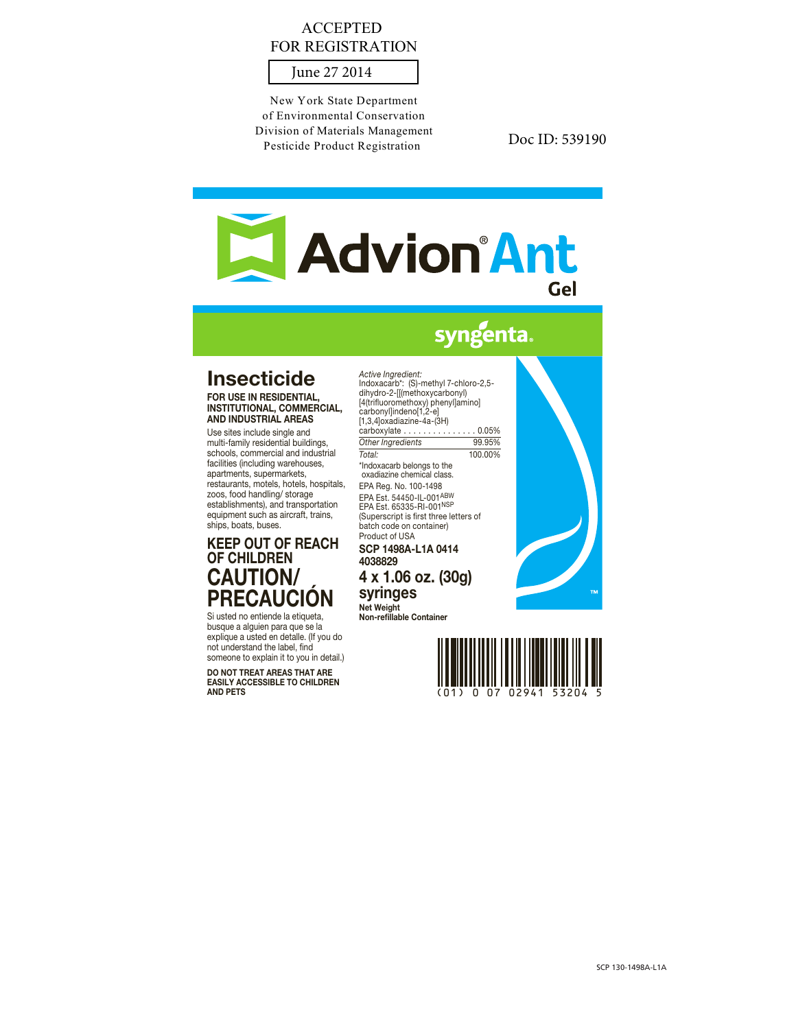## ACCEPTED FOR REGISTRATION

June 27 2014

New York State Department of Environmental Conservation Division of Materials Management Pesticide Product Registration

Doc ID: 539190

# **Advion Ant** Gel

# syngenta.

# **Insecticide**

FOR USE IN RESIDENTIAL INSTITUTIONAL, COMMERCIAL, AND INDUSTRIAL AREAS

Use sites include single and multi-family residential buildings, schools, commercial and industrial facilities (including warehouses, apartments, supermarkets, restaurants, motels, hotels, hospitals, zoos, food handling/ storage establishments), and transportation equipment such as aircraft, trains, ships, boats, buses.

# KEEP OUT OF REACH OF CHILDREN CAUTION/ PRECAUCIÓN

Si usted no entiende la etiqueta, busque a alguien para que se la explique a usted en detalle. (If you do not understand the label, find someone to explain it to you in detail.)

DO NOT TREAT AREAS THAT ARE EASILY ACCESSIBLE TO CHILDREN AND PETS

*Active Ingredient:* Indoxacarb\*: (S)-methyl 7-chloro-2,5 dihydro-2-[[(methoxycarbonyl) [4(trifluoromethoxy) phenyl]amino] carbonyl]indeno[1,2-e] [1,3,4]oxadiazine-4a-(3H) carboxylate . . . . . . . . . . . . . . . 0.05% *Other Ingredients* 99.95% *Total:* 100.00% \*Indoxacarb belongs to the oxadiazine chemical class. EPA Reg. No. 100-1498 EPA Est. 54450-IL-001ABW EPA Est. 65335-RI-001NSP (Superscript is first three letters of batch code on container) Product of USA

SCP 1498A-L1A 0414 4038829 4 x 1.06 oz. (30g)

syringes Net Weight

Non-refillable Container





(01) 0 07 02941 53204 5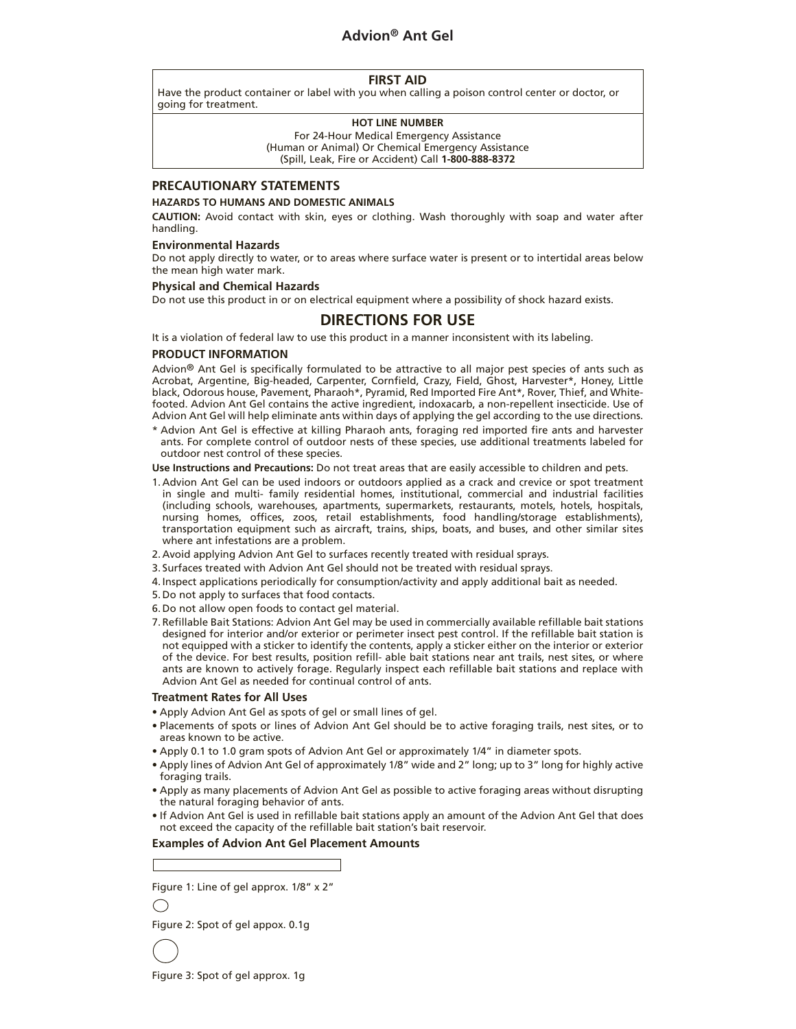### **Advion® Ant Gel**

#### **FIRST AID**

Have the product container or label with you when calling a poison control center or doctor, or going for treatment.

#### **HOT LINE NUMBER**

For 24-Hour Medical Emergency Assistance (Human or Animal) Or Chemical Emergency Assistance (Spill, Leak, Fire or Accident) Call **1-800-888-8372**

#### **PRECAUTIONARY STATEMENTS**

#### **HAZARDS TO HUMANS AND DOMESTIC ANIMALS**

**CAUTION:** Avoid contact with skin, eyes or clothing. Wash thoroughly with soap and water after handling.

#### **Environmental Hazards**

Do not apply directly to water, or to areas where surface water is present or to intertidal areas below the mean high water mark.

#### **Physical and Chemical Hazards**

Do not use this product in or on electrical equipment where a possibility of shock hazard exists.

### **DIRECTIONS FOR USE**

It is a violation of federal law to use this product in a manner inconsistent with its labeling.

#### **PRODUCT INFORMATION**

Advion® Ant Gel is specifically formulated to be attractive to all major pest species of ants such as Acrobat, Argentine, Big-headed, Carpenter, Cornfield, Crazy, Field, Ghost, Harvester\*, Honey, Little black, Odorous house, Pavement, Pharaoh\*, Pyramid, Red Imported Fire Ant\*, Rover, Thief, and Whitefooted. Advion Ant Gel contains the active ingredient, indoxacarb, a non-repellent insecticide. Use of Advion Ant Gel will help eliminate ants within days of applying the gel according to the use directions.

\* Advion Ant Gel is effective at killing Pharaoh ants, foraging red imported fire ants and harvester ants. For complete control of outdoor nests of these species, use additional treatments labeled for outdoor nest control of these species.

**Use Instructions and Precautions:** Do not treat areas that are easily accessible to children and pets.

- 1. Advion Ant Gel can be used indoors or outdoors applied as a crack and crevice or spot treatment in single and multi- family residential homes, institutional, commercial and industrial facilities (including schools, warehouses, apartments, supermarkets, restaurants, motels, hotels, hospitals, nursing homes, offices, zoos, retail establishments, food handling/storage establishments), transportation equipment such as aircraft, trains, ships, boats, and buses, and other similar sites where ant infestations are a problem.
- 2. Avoid applying Advion Ant Gel to surfaces recently treated with residual sprays.
- 3. Surfaces treated with Advion Ant Gel should not be treated with residual sprays.
- 4. Inspect applications periodically for consumption/activity and apply additional bait as needed.
- 5. Do not apply to surfaces that food contacts.
- 6. Do not allow open foods to contact gel material.
- 7. Refillable Bait Stations: Advion Ant Gel may be used in commercially available refillable bait stations designed for interior and/or exterior or perimeter insect pest control. If the refillable bait station is not equipped with a sticker to identify the contents, apply a sticker either on the interior or exterior of the device. For best results, position refill- able bait stations near ant trails, nest sites, or where ants are known to actively forage. Regularly inspect each refillable bait stations and replace with Advion Ant Gel as needed for continual control of ants.

#### **Treatment Rates for All Uses**

- Apply Advion Ant Gel as spots of gel or small lines of gel.
- Placements of spots or lines of Advion Ant Gel should be to active foraging trails, nest sites, or to areas known to be active.
- Apply 0.1 to 1.0 gram spots of Advion Ant Gel or approximately 1/4" in diameter spots.
- Apply lines of Advion Ant Gel of approximately 1/8" wide and 2" long; up to 3" long for highly active foraging trails.
- Apply as many placements of Advion Ant Gel as possible to active foraging areas without disrupting the natural foraging behavior of ants.
- If Advion Ant Gel is used in refillable bait stations apply an amount of the Advion Ant Gel that does not exceed the capacity of the refillable bait station's bait reservoir.

#### **Examples of Advion Ant Gel Placement Amounts**

Figure 1: Line of gel approx. 1/8" x 2"

Figure 2: Spot of gel appox. 0.1g



Figure 3: Spot of gel approx. 1g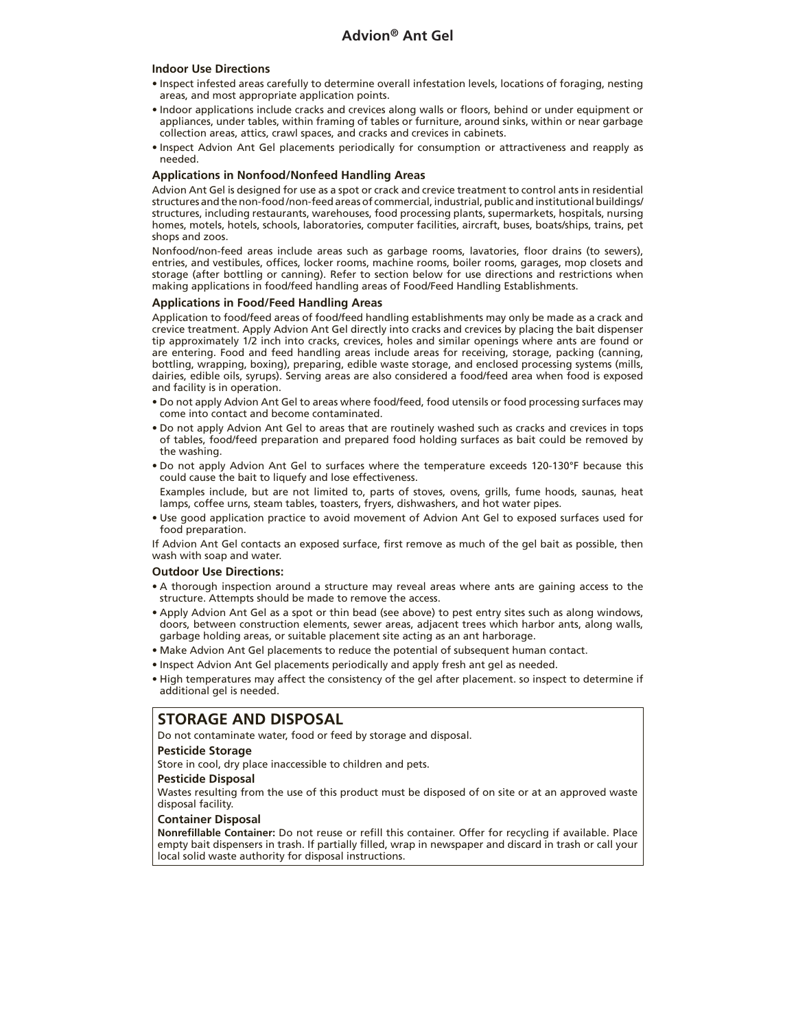#### **Indoor Use Directions**

- Inspect infested areas carefully to determine overall infestation levels, locations of foraging, nesting areas, and most appropriate application points.
- Indoor applications include cracks and crevices along walls or floors, behind or under equipment or appliances, under tables, within framing of tables or furniture, around sinks, within or near garbage collection areas, attics, crawl spaces, and cracks and crevices in cabinets.
- Inspect Advion Ant Gel placements periodically for consumption or attractiveness and reapply as needed.

#### **Applications in Nonfood/Nonfeed Handling Areas**

Advion Ant Gel is designed for use as a spot or crack and crevice treatment to control ants in residential structures and the non-food /non-feed areas of commercial, industrial, public and institutional buildings/ structures, including restaurants, warehouses, food processing plants, supermarkets, hospitals, nursing homes, motels, hotels, schools, laboratories, computer facilities, aircraft, buses, boats/ships, trains, pet shops and zoos.

Nonfood/non-feed areas include areas such as garbage rooms, lavatories, floor drains (to sewers), entries, and vestibules, offices, locker rooms, machine rooms, boiler rooms, garages, mop closets and storage (after bottling or canning). Refer to section below for use directions and restrictions when making applications in food/feed handling areas of Food/Feed Handling Establishments.

#### **Applications in Food/Feed Handling Areas**

Application to food/feed areas of food/feed handling establishments may only be made as a crack and crevice treatment. Apply Advion Ant Gel directly into cracks and crevices by placing the bait dispenser tip approximately 1/2 inch into cracks, crevices, holes and similar openings where ants are found or are entering. Food and feed handling areas include areas for receiving, storage, packing (canning, bottling, wrapping, boxing), preparing, edible waste storage, and enclosed processing systems (mills, dairies, edible oils, syrups). Serving areas are also considered a food/feed area when food is exposed and facility is in operation.

- Do not apply Advion Ant Gel to areas where food/feed, food utensils or food processing surfaces may come into contact and become contaminated.
- Do not apply Advion Ant Gel to areas that are routinely washed such as cracks and crevices in tops of tables, food/feed preparation and prepared food holding surfaces as bait could be removed by the washing.
- Do not apply Advion Ant Gel to surfaces where the temperature exceeds 120-130°F because this could cause the bait to liquefy and lose effectiveness.

Examples include, but are not limited to, parts of stoves, ovens, grills, fume hoods, saunas, heat lamps, coffee urns, steam tables, toasters, fryers, dishwashers, and hot water pipes.

• Use good application practice to avoid movement of Advion Ant Gel to exposed surfaces used for food preparation.

If Advion Ant Gel contacts an exposed surface, first remove as much of the gel bait as possible, then wash with soap and water.

#### **Outdoor Use Directions:**

- A thorough inspection around a structure may reveal areas where ants are gaining access to the structure. Attempts should be made to remove the access.
- Apply Advion Ant Gel as a spot or thin bead (see above) to pest entry sites such as along windows, doors, between construction elements, sewer areas, adjacent trees which harbor ants, along walls, garbage holding areas, or suitable placement site acting as an ant harborage.
- Make Advion Ant Gel placements to reduce the potential of subsequent human contact.
- Inspect Advion Ant Gel placements periodically and apply fresh ant gel as needed.
- High temperatures may affect the consistency of the gel after placement. so inspect to determine if additional gel is needed.

### **STORAGE AND DISPOSAL**

Do not contaminate water, food or feed by storage and disposal.

#### **Pesticide Storage**

Store in cool, dry place inaccessible to children and pets.

#### **Pesticide Disposal**

Wastes resulting from the use of this product must be disposed of on site or at an approved waste disposal facility.

#### **Container Disposal**

**Nonrefillable Container:** Do not reuse or refill this container. Offer for recycling if available. Place empty bait dispensers in trash. If partially filled, wrap in newspaper and discard in trash or call your local solid waste authority for disposal instructions.